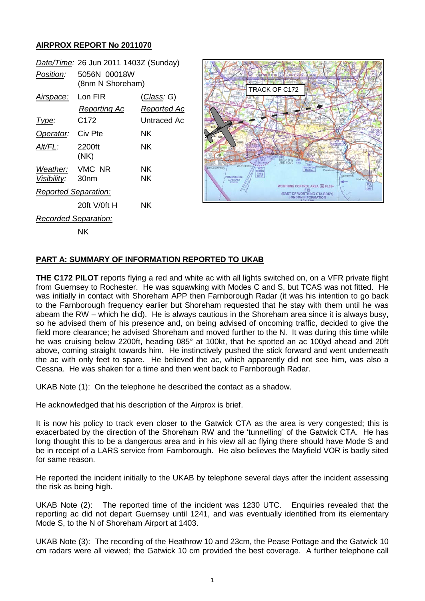## **AIRPROX REPORT No 2011070**

|                             | Date/Time: 26 Jun 2011 1403Z (Sunday) |                                   |
|-----------------------------|---------------------------------------|-----------------------------------|
| Position:                   | 5056N 00018W<br>(8nm N Shoreham)      |                                   |
| Airspace: Lon FIR           | Reporting Ac                          | <u>(Class</u> : G)<br>Reported Ac |
| lype:                       | C <sub>172</sub>                      | Untraced Ac                       |
| Operator: Civ Pte           |                                       | NK.                               |
| AIt/FL:                     | 2200ft<br>(NK)                        | NK.                               |
| Weather: VMC NR             |                                       | NΚ                                |
| Visibility: 30nm            |                                       | ΝK                                |
| <b>Reported Separation:</b> |                                       |                                   |
|                             | 20ft V/0ft H                          | ΝK                                |
| <b>Recorded Separation:</b> |                                       |                                   |
|                             | ΝK                                    |                                   |



## **PART A: SUMMARY OF INFORMATION REPORTED TO UKAB**

**THE C172 PILOT** reports flying a red and white ac with all lights switched on, on a VFR private flight from Guernsey to Rochester. He was squawking with Modes C and S, but TCAS was not fitted. He was initially in contact with Shoreham APP then Farnborough Radar (it was his intention to go back to the Farnborough frequency earlier but Shoreham requested that he stay with them until he was abeam the RW – which he did). He is always cautious in the Shoreham area since it is always busy, so he advised them of his presence and, on being advised of oncoming traffic, decided to give the field more clearance; he advised Shoreham and moved further to the N. It was during this time while he was cruising below 2200ft, heading 085° at 100kt, that he spotted an ac 100yd ahead and 20ft above, coming straight towards him. He instinctively pushed the stick forward and went underneath the ac with only feet to spare. He believed the ac, which apparently did not see him, was also a Cessna. He was shaken for a time and then went back to Farnborough Radar.

UKAB Note (1): On the telephone he described the contact as a shadow.

He acknowledged that his description of the Airprox is brief.

It is now his policy to track even closer to the Gatwick CTA as the area is very congested; this is exacerbated by the direction of the Shoreham RW and the 'tunnelling' of the Gatwick CTA. He has long thought this to be a dangerous area and in his view all ac flying there should have Mode S and be in receipt of a LARS service from Farnborough. He also believes the Mayfield VOR is badly sited for same reason.

He reported the incident initially to the UKAB by telephone several days after the incident assessing the risk as being high.

UKAB Note (2): The reported time of the incident was 1230 UTC. Enquiries revealed that the reporting ac did not depart Guernsey until 1241, and was eventually identified from its elementary Mode S, to the N of Shoreham Airport at 1403.

UKAB Note (3): The recording of the Heathrow 10 and 23cm, the Pease Pottage and the Gatwick 10 cm radars were all viewed; the Gatwick 10 cm provided the best coverage. A further telephone call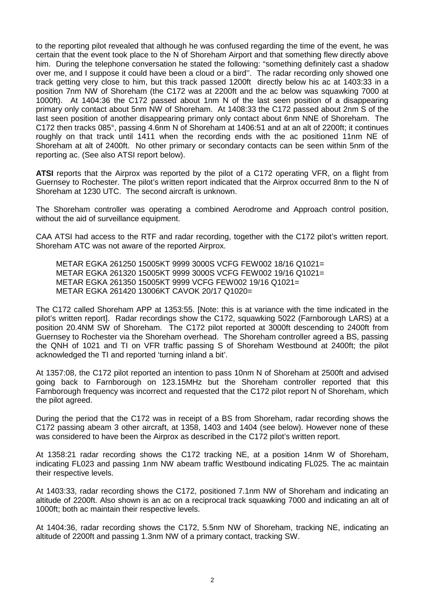to the reporting pilot revealed that although he was confused regarding the time of the event, he was certain that the event took place to the N of Shoreham Airport and that something flew directly above him. During the telephone conversation he stated the following: "something definitely cast a shadow over me, and I suppose it could have been a cloud or a bird''. The radar recording only showed one track getting very close to him, but this track passed 1200ft directly below his ac at 1403:33 in a position 7nm NW of Shoreham (the C172 was at 2200ft and the ac below was squawking 7000 at 1000ft). At 1404:36 the C172 passed about 1nm N of the last seen position of a disappearing primary only contact about 5nm NW of Shoreham. At 1408:33 the C172 passed about 2nm S of the last seen position of another disappearing primary only contact about 6nm NNE of Shoreham. The C172 then tracks 085°, passing 4.6nm N of Shoreham at 1406:51 and at an alt of 2200ft; it continues roughly on that track until 1411 when the recording ends with the ac positioned 11nm NE of Shoreham at alt of 2400ft. No other primary or secondary contacts can be seen within 5nm of the reporting ac. (See also ATSI report below).

**ATSI** reports that the Airprox was reported by the pilot of a C172 operating VFR, on a flight from Guernsey to Rochester. The pilot's written report indicated that the Airprox occurred 8nm to the N of Shoreham at 1230 UTC. The second aircraft is unknown.

The Shoreham controller was operating a combined Aerodrome and Approach control position, without the aid of surveillance equipment.

CAA ATSI had access to the RTF and radar recording, together with the C172 pilot's written report. Shoreham ATC was not aware of the reported Airprox.

METAR EGKA 261250 15005KT 9999 3000S VCFG FEW002 18/16 Q1021= METAR EGKA 261320 15005KT 9999 3000S VCFG FEW002 19/16 Q1021= METAR EGKA 261350 15005KT 9999 VCFG FEW002 19/16 Q1021= METAR EGKA 261420 13006KT CAVOK 20/17 Q1020=

The C172 called Shoreham APP at 1353:55. [Note: this is at variance with the time indicated in the pilot's written report]. Radar recordings show the C172, squawking 5022 (Farnborough LARS) at a position 20.4NM SW of Shoreham. The C172 pilot reported at 3000ft descending to 2400ft from Guernsey to Rochester via the Shoreham overhead. The Shoreham controller agreed a BS, passing the QNH of 1021 and TI on VFR traffic passing S of Shoreham Westbound at 2400ft; the pilot acknowledged the TI and reported 'turning inland a bit'.

At 1357:08, the C172 pilot reported an intention to pass 10nm N of Shoreham at 2500ft and advised going back to Farnborough on 123.15MHz but the Shoreham controller reported that this Farnborough frequency was incorrect and requested that the C172 pilot report N of Shoreham, which the pilot agreed.

During the period that the C172 was in receipt of a BS from Shoreham, radar recording shows the C172 passing abeam 3 other aircraft, at 1358, 1403 and 1404 (see below). However none of these was considered to have been the Airprox as described in the C172 pilot's written report.

At 1358:21 radar recording shows the C172 tracking NE, at a position 14nm W of Shoreham, indicating FL023 and passing 1nm NW abeam traffic Westbound indicating FL025. The ac maintain their respective levels.

At 1403:33, radar recording shows the C172, positioned 7.1nm NW of Shoreham and indicating an altitude of 2200ft. Also shown is an ac on a reciprocal track squawking 7000 and indicating an alt of 1000ft; both ac maintain their respective levels.

At 1404:36, radar recording shows the C172, 5.5nm NW of Shoreham, tracking NE, indicating an altitude of 2200ft and passing 1.3nm NW of a primary contact, tracking SW.